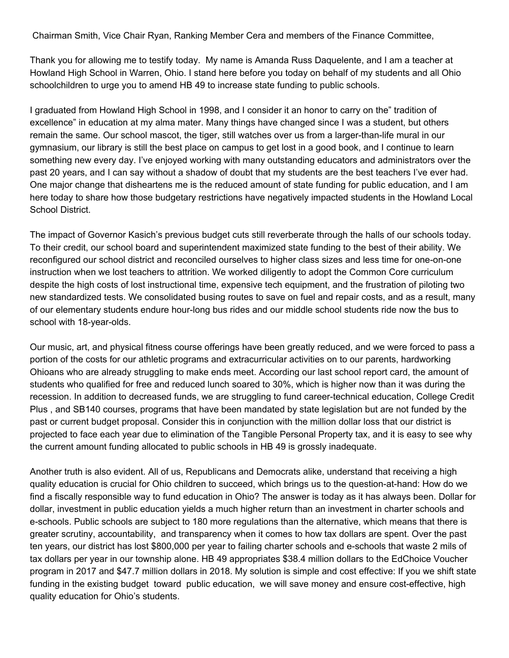Chairman Smith, Vice Chair Ryan, Ranking Member Cera and members of the Finance Committee,

Thank you for allowing me to testify today. My name is Amanda Russ Daquelente, and I am a teacher at Howland High School in Warren, Ohio. I stand here before you today on behalf of my students and all Ohio schoolchildren to urge you to amend HB 49 to increase state funding to public schools.

I graduated from Howland High School in 1998, and I consider it an honor to carry on the" tradition of excellence" in education at my alma mater. Many things have changed since I was a student, but others remain the same. Our school mascot, the tiger, still watches over us from a larger-than-life mural in our gymnasium, our library is still the best place on campus to get lost in a good book, and I continue to learn something new every day. I've enjoyed working with many outstanding educators and administrators over the past 20 years, and I can say without a shadow of doubt that my students are the best teachers I've ever had. One major change that disheartens me is the reduced amount of state funding for public education, and I am here today to share how those budgetary restrictions have negatively impacted students in the Howland Local School District.

The impact of Governor Kasich's previous budget cuts still reverberate through the halls of our schools today. To their credit, our school board and superintendent maximized state funding to the best of their ability. We reconfigured our school district and reconciled ourselves to higher class sizes and less time for one-on-one instruction when we lost teachers to attrition. We worked diligently to adopt the Common Core curriculum despite the high costs of lost instructional time, expensive tech equipment, and the frustration of piloting two new standardized tests. We consolidated busing routes to save on fuel and repair costs, and as a result, many of our elementary students endure hour-long bus rides and our middle school students ride now the bus to school with 18-year-olds.

Our music, art, and physical fitness course offerings have been greatly reduced, and we were forced to pass a portion of the costs for our athletic programs and extracurricular activities on to our parents, hardworking Ohioans who are already struggling to make ends meet. According our last school report card, the amount of students who qualified for free and reduced lunch soared to 30%, which is higher now than it was during the recession. In addition to decreased funds, we are struggling to fund career-technical education, College Credit Plus , and SB140 courses, programs that have been mandated by state legislation but are not funded by the past or current budget proposal. Consider this in conjunction with the million dollar loss that our district is projected to face each year due to elimination of the Tangible Personal Property tax, and it is easy to see why the current amount funding allocated to public schools in HB 49 is grossly inadequate.

Another truth is also evident. All of us, Republicans and Democrats alike, understand that receiving a high quality education is crucial for Ohio children to succeed, which brings us to the question-at-hand: How do we find a fiscally responsible way to fund education in Ohio? The answer is today as it has always been. Dollar for dollar, investment in public education yields a much higher return than an investment in charter schools and e-schools. Public schools are subject to 180 more regulations than the alternative, which means that there is greater scrutiny, accountability, and transparency when it comes to how tax dollars are spent. Over the past ten years, our district has lost \$800,000 per year to failing charter schools and e-schools that waste 2 mils of tax dollars per year in our township alone. HB 49 appropriates \$38.4 million dollars to the EdChoice Voucher program in 2017 and \$47.7 million dollars in 2018. My solution is simple and cost effective: If you we shift state funding in the existing budget toward public education, we will save money and ensure cost-effective, high quality education for Ohio's students.